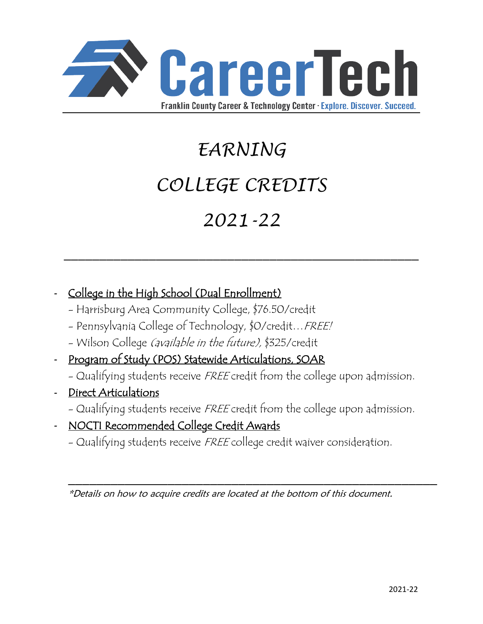

# *EARNING COLLEGE CREDITS 2021-22*

 $\mathcal{L}_\text{max}$  , and the contract of the contract of the contract of the contract of the contract of the contract of the contract of the contract of the contract of the contract of the contract of the contract of the contr

- College in the High School (Dual Enrollment)
	- Harrisburg Area Community College, \$76.50/credit
	- Pennsylvania College of Technology, \$0/credit…FREE!
	- Wilson College (available in the future), \$325/credit
- Program of Study (POS) Statewide Articulations, SOAR
	- Qualifying students receive FREE credit from the college upon admission.
- Direct Articulations
	- Qualifying students receive FREE credit from the college upon admission.
- NOCTI Recommended College Credit Awards
	- Qualifying students receive FREE college credit waiver consideration.

\*Details on how to acquire credits are located at the bottom of this document.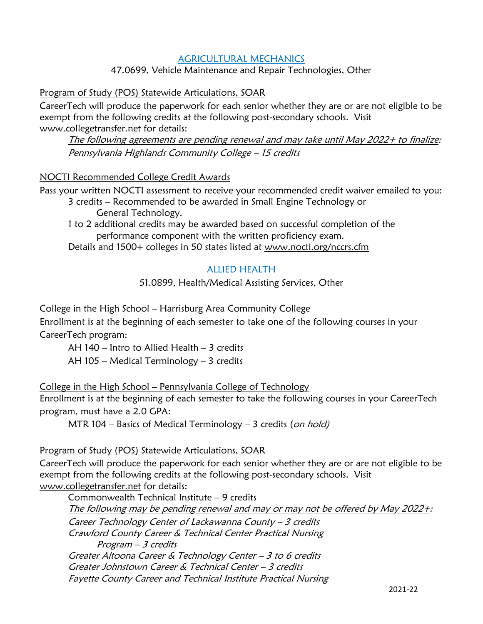# AGRICULTURAL MECHANICS

47.0699, Vehicle Maintenance and Repair Technologies, Other

# Program of Study (POS) Statewide Articulations, SOAR

CareerTech will produce the paperwork for each senior whether they are or are not eligible to be exempt from the following credits at the following post-secondary schools. Visit [www.collegetransfer.net](http://www.collegetransfer.net/) for details:

The following agreements are pending renewal and may take until May 2022+ to finalize: Pennsylvania Highlands Community College – 15 credits

# NOCTI Recommended College Credit Awards

Pass your written NOCTI assessment to receive your recommended credit waiver emailed to you:

3 credits – Recommended to be awarded in Small Engine Technology or General Technology.

1 to 2 additional credits may be awarded based on successful completion of the performance component with the written proficiency exam.

Details and 1500+ colleges in 50 states listed at [www.nocti.org/nccrs.cfm](http://www.nocti.org/nccrs.cfm)

# ALLIED HEALTH

51.0899, Health/Medical Assisting Services, Other

College in the High School – Harrisburg Area Community College

Enrollment is at the beginning of each semester to take one of the following courses in your CareerTech program:

AH 140 – Intro to Allied Health – 3 credits

AH 105 – Medical Terminology – 3 credits

# College in the High School – Pennsylvania College of Technology

Enrollment is at the beginning of each semester to take the following courses in your CareerTech program, must have a 2.0 GPA:

MTR 104 – Basics of Medical Terminology – 3 credits (on hold)

# Program of Study (POS) Statewide Articulations, SOAR

CareerTech will produce the paperwork for each senior whether they are or are not eligible to be exempt from the following credits at the following post-secondary schools. Visit [www.collegetransfer.net](http://www.collegetransfer.net/) for details:

Commonwealth Technical Institute – 9 credits

The following may be pending renewal and may or may not be offered by May 2022+: Career Technology Center of Lackawanna County – 3 credits Crawford County Career & Technical Center Practical Nursing Program – 3 credits Greater Altoona Career & Technology Center – 3 to 6 credits Greater Johnstown Career & Technical Center – 3 credits Fayette County Career and Technical Institute Practical Nursing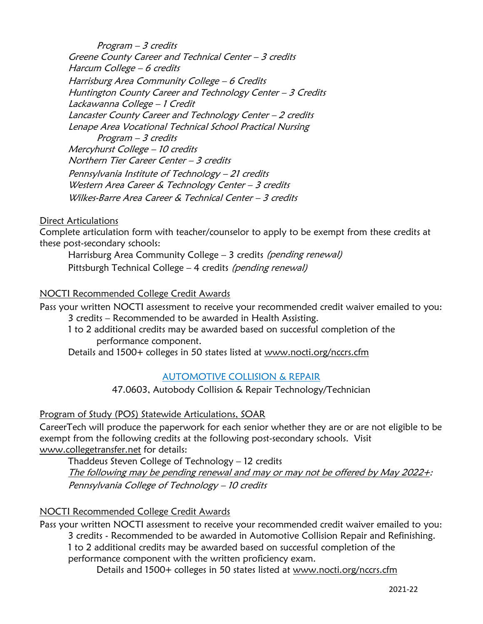Program – 3 credits Greene County Career and Technical Center – 3 credits Harcum College – 6 credits Harrisburg Area Community College – 6 Credits Huntington County Career and Technology Center – 3 Credits Lackawanna College – 1 Credit Lancaster County Career and Technology Center – 2 credits Lenape Area Vocational Technical School Practical Nursing Program – 3 credits Mercyhurst College – 10 credits Northern Tier Career Center – 3 credits Pennsylvania Institute of Technology – 21 credits Western Area Career & Technology Center - 3 credits Wilkes-Barre Area Career & Technical Center – 3 credits

Direct Articulations

Complete articulation form with teacher/counselor to apply to be exempt from these credits at these post-secondary schools:

Harrisburg Area Community College – 3 credits (pending renewal) Pittsburgh Technical College – 4 credits (pending renewal)

# NOCTI Recommended College Credit Awards

Pass your written NOCTI assessment to receive your recommended credit waiver emailed to you: 3 credits – Recommended to be awarded in Health Assisting.

1 to 2 additional credits may be awarded based on successful completion of the performance component.

Details and 1500+ colleges in 50 states listed at [www.nocti.org/nccrs.cfm](http://www.nocti.org/nccrs.cfm)

# AUTOMOTIVE COLLISION & REPAIR

47.0603, Autobody Collision & Repair Technology/Technician

# Program of Study (POS) Statewide Articulations, SOAR

CareerTech will produce the paperwork for each senior whether they are or are not eligible to be exempt from the following credits at the following post-secondary schools. Visit [www.collegetransfer.net](http://www.collegetransfer.net/) for details:

Thaddeus Steven College of Technology – 12 credits The following may be pending renewal and may or may not be offered by May 2022+: Pennsylvania College of Technology – 10 credits

# NOCTI Recommended College Credit Awards

Pass your written NOCTI assessment to receive your recommended credit waiver emailed to you: 3 credits - Recommended to be awarded in Automotive Collision Repair and Refinishing. 1 to 2 additional credits may be awarded based on successful completion of the performance component with the written proficiency exam.

Details and 1500+ colleges in 50 states listed at [www.nocti.org/nccrs.cfm](http://www.nocti.org/nccrs.cfm)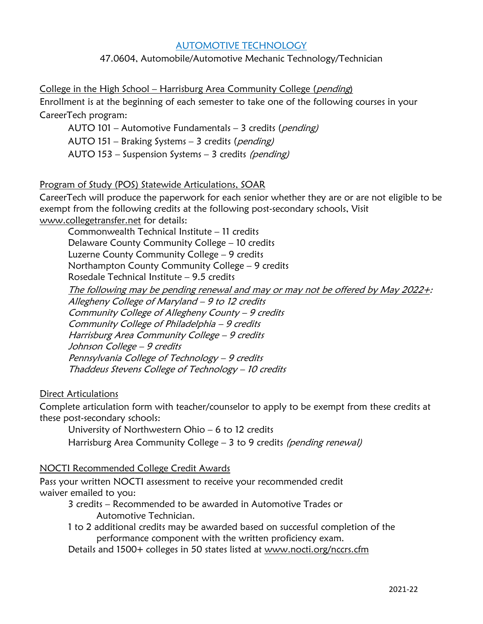# AUTOMOTIVE TECHNOLOGY

# 47.0604, Automobile/Automotive Mechanic Technology/Technician

College in the High School - Harrisburg Area Community College (pending) Enrollment is at the beginning of each semester to take one of the following courses in your CareerTech program:

AUTO 101 – Automotive Fundamentals – 3 credits (pending) AUTO 151 – Braking Systems – 3 credits (pending) AUTO 153 – Suspension Systems – 3 credits (pending)

#### Program of Study (POS) Statewide Articulations, SOAR

CareerTech will produce the paperwork for each senior whether they are or are not eligible to be exempt from the following credits at the following post-secondary schools, Visit [www.collegetransfer.net](http://www.collegetransfer.net/) for details:

Commonwealth Technical Institute – 11 credits Delaware County Community College – 10 credits Luzerne County Community College – 9 credits Northampton County Community College – 9 credits Rosedale Technical Institute – 9.5 credits

The following may be pending renewal and may or may not be offered by May 2022+: Allegheny College of Maryland – 9 to 12 credits Community College of Allegheny County – 9 credits Community College of Philadelphia – 9 credits Harrisburg Area Community College – 9 credits Johnson College – 9 credits Pennsylvania College of Technology – 9 credits Thaddeus Stevens College of Technology – 10 credits

#### Direct Articulations

Complete articulation form with teacher/counselor to apply to be exempt from these credits at these post-secondary schools:

University of Northwestern Ohio – 6 to 12 credits

Harrisburg Area Community College – 3 to 9 credits (pending renewal)

#### NOCTI Recommended College Credit Awards

Pass your written NOCTI assessment to receive your recommended credit waiver emailed to you:

3 credits – Recommended to be awarded in Automotive Trades or Automotive Technician.

1 to 2 additional credits may be awarded based on successful completion of the performance component with the written proficiency exam.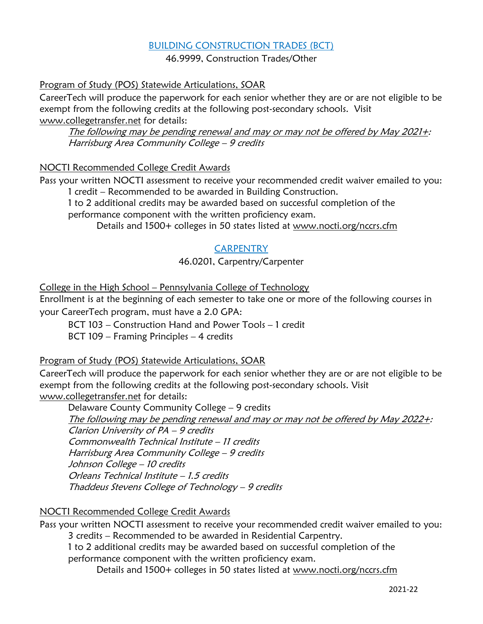# BUILDING CONSTRUCTION TRADES (BCT)

46.9999, Construction Trades/Other

# Program of Study (POS) Statewide Articulations, SOAR

CareerTech will produce the paperwork for each senior whether they are or are not eligible to be exempt from the following credits at the following post-secondary schools. Visit [www.collegetransfer.net](http://www.collegetransfer.net/) for details:

The following may be pending renewal and may or may not be offered by May 2021+: Harrisburg Area Community College – 9 credits

# NOCTI Recommended College Credit Awards

Pass your written NOCTI assessment to receive your recommended credit waiver emailed to you: 1 credit – Recommended to be awarded in Building Construction.

1 to 2 additional credits may be awarded based on successful completion of the performance component with the written proficiency exam.

Details and 1500+ colleges in 50 states listed at [www.nocti.org/nccrs.cfm](http://www.nocti.org/nccrs.cfm)

# **CARPENTRY**

# 46.0201, Carpentry/Carpenter

College in the High School – Pennsylvania College of Technology

Enrollment is at the beginning of each semester to take one or more of the following courses in your CareerTech program, must have a 2.0 GPA:

BCT 103 – Construction Hand and Power Tools – 1 credit

BCT 109 – Framing Principles – 4 credits

# Program of Study (POS) Statewide Articulations, SOAR

CareerTech will produce the paperwork for each senior whether they are or are not eligible to be exempt from the following credits at the following post-secondary schools. Visit [www.collegetransfer.net](http://www.collegetransfer.net/) for details:

Delaware County Community College – 9 credits The following may be pending renewal and may or may not be offered by May 2022+: Clarion University of PA – 9 credits Commonwealth Technical Institute – 11 credits Harrisburg Area Community College – 9 credits Johnson College – 10 credits Orleans Technical Institute – 1.5 credits Thaddeus Stevens College of Technology – 9 credits

# NOCTI Recommended College Credit Awards

Pass your written NOCTI assessment to receive your recommended credit waiver emailed to you: 3 credits – Recommended to be awarded in Residential Carpentry.

1 to 2 additional credits may be awarded based on successful completion of the performance component with the written proficiency exam.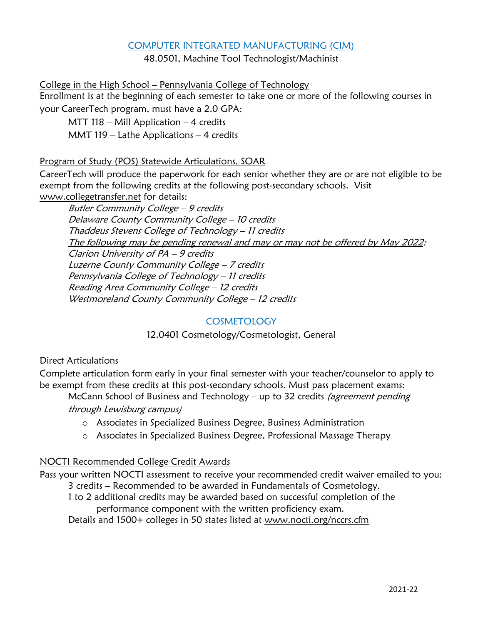# COMPUTER INTEGRATED MANUFACTURING (CIM)

48.0501, Machine Tool Technologist/Machinist

College in the High School – Pennsylvania College of Technology Enrollment is at the beginning of each semester to take one or more of the following courses in

your CareerTech program, must have a 2.0 GPA:

MTT 118 – Mill Application – 4 credits

MMT 119 – Lathe Applications – 4 credits

# Program of Study (POS) Statewide Articulations, SOAR

CareerTech will produce the paperwork for each senior whether they are or are not eligible to be exempt from the following credits at the following post-secondary schools. Visit [www.collegetransfer.net](http://www.collegetransfer.net/) for details:

Butler Community College – 9 credits Delaware County Community College – 10 credits Thaddeus Stevens College of Technology – 11 credits The following may be pending renewal and may or may not be offered by May 2022: Clarion University of PA – 9 credits Luzerne County Community College – 7 credits Pennsylvania College of Technology – 11 credits Reading Area Community College – 12 credits Westmoreland County Community College - 12 credits

# **COSMETOLOGY**

12.0401 Cosmetology/Cosmetologist, General

# Direct Articulations

Complete articulation form early in your final semester with your teacher/counselor to apply to be exempt from these credits at this post-secondary schools. Must pass placement exams:

McCann School of Business and Technology – up to 32 credits (agreement pending through Lewisburg campus)

- o Associates in Specialized Business Degree, Business Administration
- o Associates in Specialized Business Degree, Professional Massage Therapy

# NOCTI Recommended College Credit Awards

Pass your written NOCTI assessment to receive your recommended credit waiver emailed to you:

3 credits – Recommended to be awarded in Fundamentals of Cosmetology.

1 to 2 additional credits may be awarded based on successful completion of the performance component with the written proficiency exam.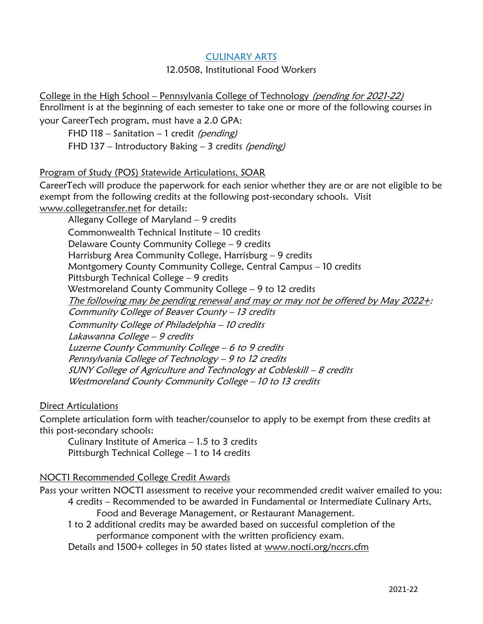# CULINARY ARTS

#### 12.0508, Institutional Food Workers

College in the High School – Pennsylvania College of Technology (pending for 2021-22) Enrollment is at the beginning of each semester to take one or more of the following courses in your CareerTech program, must have a 2.0 GPA:

FHD 118 – Sanitation – 1 credit (pending) FHD 137 – Introductory Baking – 3 credits (pending)

# Program of Study (POS) Statewide Articulations, SOAR

CareerTech will produce the paperwork for each senior whether they are or are not eligible to be exempt from the following credits at the following post-secondary schools. Visit [www.collegetransfer.net](http://www.collegetransfer.net/) for details:

Allegany College of Maryland – 9 credits Commonwealth Technical Institute – 10 credits Delaware County Community College – 9 credits Harrisburg Area Community College, Harrisburg – 9 credits Montgomery County Community College, Central Campus – 10 credits Pittsburgh Technical College – 9 credits Westmoreland County Community College – 9 to 12 credits The following may be pending renewal and may or may not be offered by May 2022+: Community College of Beaver County – 13 credits Community College of Philadelphia – 10 credits Lakawanna College – 9 credits Luzerne County Community College – 6 to 9 credits Pennsylvania College of Technology – 9 to 12 credits SUNY College of Agriculture and Technology at Cobleskill – 8 credits Westmoreland County Community College – 10 to 13 credits

# Direct Articulations

Complete articulation form with teacher/counselor to apply to be exempt from these credits at this post-secondary schools:

Culinary Institute of America  $-1.5$  to 3 credits Pittsburgh Technical College – 1 to 14 credits

# NOCTI Recommended College Credit Awards

Pass your written NOCTI assessment to receive your recommended credit waiver emailed to you: 4 credits – Recommended to be awarded in Fundamental or Intermediate Culinary Arts, Food and Beverage Management, or Restaurant Management.

1 to 2 additional credits may be awarded based on successful completion of the performance component with the written proficiency exam.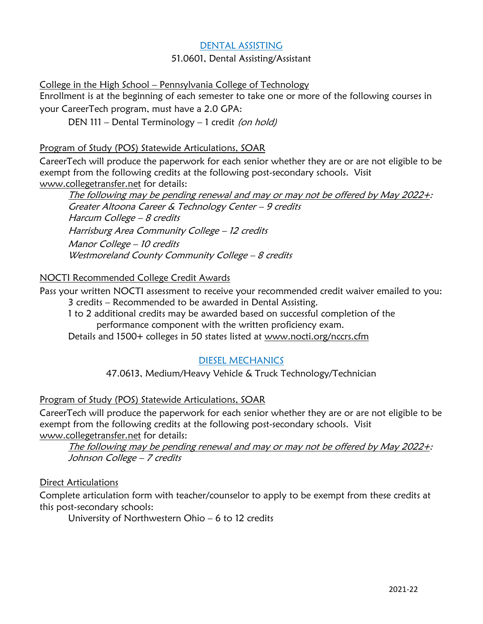# DENTAL ASSISTING

# 51.0601, Dental Assisting/Assistant

College in the High School – Pennsylvania College of Technology

Enrollment is at the beginning of each semester to take one or more of the following courses in your CareerTech program, must have a 2.0 GPA:

DEN 111 – Dental Terminology – 1 credit (on hold)

# Program of Study (POS) Statewide Articulations, SOAR

CareerTech will produce the paperwork for each senior whether they are or are not eligible to be exempt from the following credits at the following post-secondary schools. Visit [www.collegetransfer.net](http://www.collegetransfer.net/) for details:

The following may be pending renewal and may or may not be offered by May 2022+: Greater Altoona Career & Technology Center – 9 credits Harcum College – 8 credits Harrisburg Area Community College – 12 credits Manor College – 10 credits Westmoreland County Community College - 8 credits

# NOCTI Recommended College Credit Awards

Pass your written NOCTI assessment to receive your recommended credit waiver emailed to you: 3 credits – Recommended to be awarded in Dental Assisting.

1 to 2 additional credits may be awarded based on successful completion of the performance component with the written proficiency exam.

Details and 1500+ colleges in 50 states listed at [www.nocti.org/nccrs.cfm](http://www.nocti.org/nccrs.cfm)

# DIESEL MECHANICS

47.0613, Medium/Heavy Vehicle & Truck Technology/Technician

# Program of Study (POS) Statewide Articulations, SOAR

CareerTech will produce the paperwork for each senior whether they are or are not eligible to be exempt from the following credits at the following post-secondary schools. Visit [www.collegetransfer.net](http://www.collegetransfer.net/) for details:

The following may be pending renewal and may or may not be offered by May 2022+: Johnson College - 7 credits

# Direct Articulations

Complete articulation form with teacher/counselor to apply to be exempt from these credits at this post-secondary schools:

University of Northwestern Ohio – 6 to 12 credits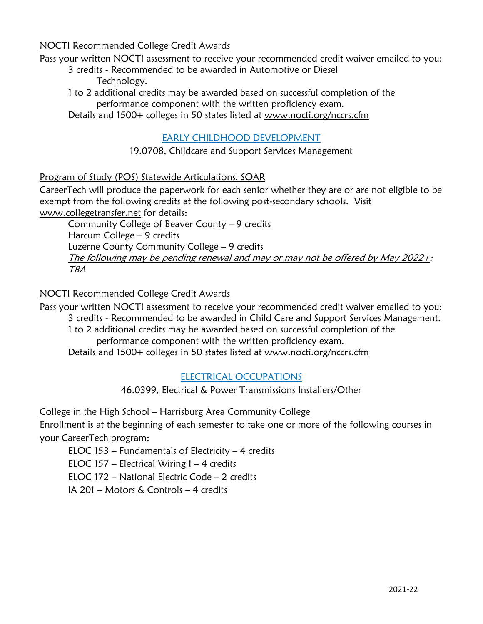NOCTI Recommended College Credit Awards

Pass your written NOCTI assessment to receive your recommended credit waiver emailed to you:

- 3 credits Recommended to be awarded in Automotive or Diesel Technology.
- 1 to 2 additional credits may be awarded based on successful completion of the performance component with the written proficiency exam.

Details and 1500+ colleges in 50 states listed at [www.nocti.org/nccrs.cfm](http://www.nocti.org/nccrs.cfm)

# EARLY CHILDHOOD DEVELOPMENT

# 19.0708, Childcare and Support Services Management

# Program of Study (POS) Statewide Articulations, SOAR

CareerTech will produce the paperwork for each senior whether they are or are not eligible to be exempt from the following credits at the following post-secondary schools. Visit [www.collegetransfer.net](http://www.collegetransfer.net/) for details:

Community College of Beaver County – 9 credits Harcum College – 9 credits Luzerne County Community College – 9 credits The following may be pending renewal and may or may not be offered by May 2022+: TBA

# NOCTI Recommended College Credit Awards

Pass your written NOCTI assessment to receive your recommended credit waiver emailed to you: 3 credits - Recommended to be awarded in Child Care and Support Services Management.

1 to 2 additional credits may be awarded based on successful completion of the performance component with the written proficiency exam.

Details and 1500+ colleges in 50 states listed at [www.nocti.org/nccrs.cfm](http://www.nocti.org/nccrs.cfm)

# ELECTRICAL OCCUPATIONS

46.0399, Electrical & Power Transmissions Installers/Other

# College in the High School – Harrisburg Area Community College

Enrollment is at the beginning of each semester to take one or more of the following courses in your CareerTech program:

ELOC 153 – Fundamentals of Electricity – 4 credits

ELOC 157 – Electrical Wiring  $1 - 4$  credits

ELOC 172 – National Electric Code – 2 credits

IA 201 – Motors & Controls – 4 credits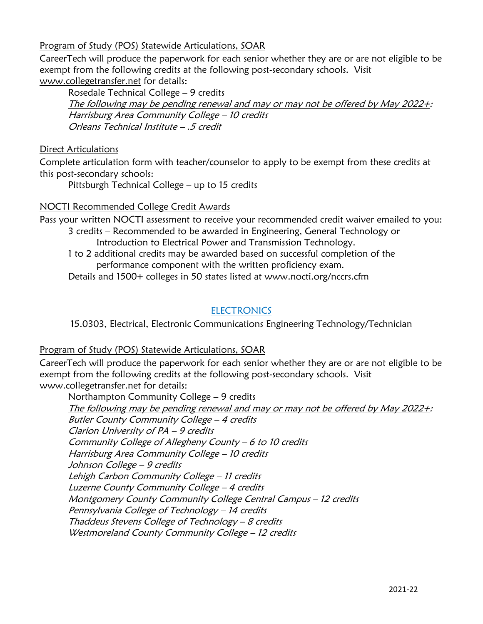# Program of Study (POS) Statewide Articulations, SOAR

CareerTech will produce the paperwork for each senior whether they are or are not eligible to be exempt from the following credits at the following post-secondary schools. Visit [www.collegetransfer.net](http://www.collegetransfer.net/) for details:

Rosedale Technical College – 9 credits

The following may be pending renewal and may or may not be offered by May 2022+: Harrisburg Area Community College – 10 credits Orleans Technical Institute – .5 credit

# Direct Articulations

Complete articulation form with teacher/counselor to apply to be exempt from these credits at this post-secondary schools:

Pittsburgh Technical College – up to 15 credits

# NOCTI Recommended College Credit Awards

Pass your written NOCTI assessment to receive your recommended credit waiver emailed to you: 3 credits – Recommended to be awarded in Engineering, General Technology or

Introduction to Electrical Power and Transmission Technology.

1 to 2 additional credits may be awarded based on successful completion of the performance component with the written proficiency exam.

Details and 1500+ colleges in 50 states listed at [www.nocti.org/nccrs.cfm](http://www.nocti.org/nccrs.cfm)

# **ELECTRONICS**

15.0303, Electrical, Electronic Communications Engineering Technology/Technician

# Program of Study (POS) Statewide Articulations, SOAR

CareerTech will produce the paperwork for each senior whether they are or are not eligible to be exempt from the following credits at the following post-secondary schools. Visit [www.collegetransfer.net](http://www.collegetransfer.net/) for details:

Northampton Community College – 9 credits The following may be pending renewal and may or may not be offered by May 2022+: Butler County Community College – 4 credits Clarion University of PA – 9 credits Community College of Allegheny County – 6 to 10 credits Harrisburg Area Community College – 10 credits Johnson College – 9 credits Lehigh Carbon Community College – 11 credits Luzerne County Community College – 4 credits Montgomery County Community College Central Campus – 12 credits Pennsylvania College of Technology – 14 credits Thaddeus Stevens College of Technology – 8 credits Westmoreland County Community College - 12 credits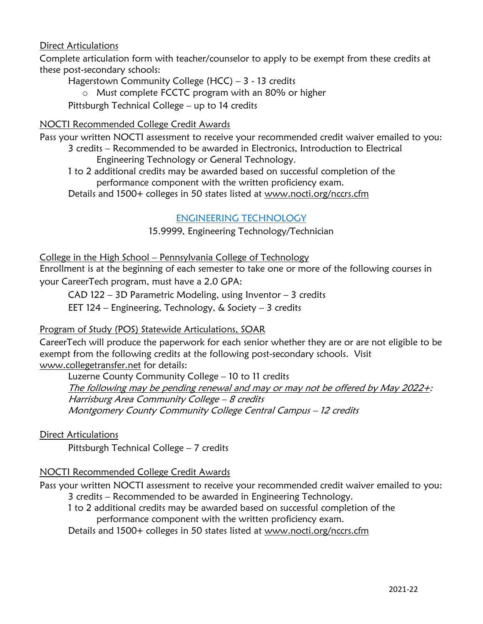# Direct Articulations

Complete articulation form with teacher/counselor to apply to be exempt from these credits at these post-secondary schools:

Hagerstown Community College (HCC) – 3 - 13 credits

o Must complete FCCTC program with an 80% or higher

Pittsburgh Technical College – up to 14 credits

# NOCTI Recommended College Credit Awards

Pass your written NOCTI assessment to receive your recommended credit waiver emailed to you:

3 credits – Recommended to be awarded in Electronics, Introduction to Electrical Engineering Technology or General Technology.

1 to 2 additional credits may be awarded based on successful completion of the performance component with the written proficiency exam.

Details and 1500+ colleges in 50 states listed at [www.nocti.org/nccrs.cfm](http://www.nocti.org/nccrs.cfm)

# ENGINEERING TECHNOLOGY

15.9999, Engineering Technology/Technician

College in the High School – Pennsylvania College of Technology

Enrollment is at the beginning of each semester to take one or more of the following courses in your CareerTech program, must have a 2.0 GPA:

CAD 122 – 3D Parametric Modeling, using Inventor – 3 credits

EET 124 – Engineering, Technology, & Society – 3 credits

# Program of Study (POS) Statewide Articulations, SOAR

CareerTech will produce the paperwork for each senior whether they are or are not eligible to be exempt from the following credits at the following post-secondary schools. Visit [www.collegetransfer.net](http://www.collegetransfer.net/) for details:

Luzerne County Community College – 10 to 11 credits The following may be pending renewal and may or may not be offered by May 2022+: Harrisburg Area Community College – 8 credits Montgomery County Community College Central Campus – 12 credits

Direct Articulations

Pittsburgh Technical College – 7 credits

# NOCTI Recommended College Credit Awards

Pass your written NOCTI assessment to receive your recommended credit waiver emailed to you: 3 credits – Recommended to be awarded in Engineering Technology.

1 to 2 additional credits may be awarded based on successful completion of the performance component with the written proficiency exam.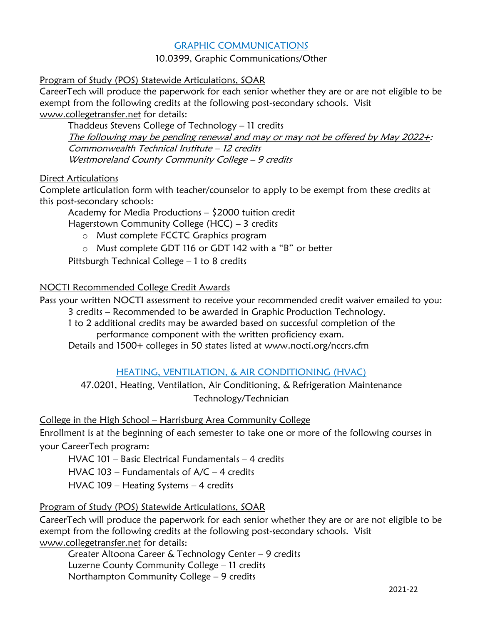# GRAPHIC COMMUNICATIONS

# 10.0399, Graphic Communications/Other

# Program of Study (POS) Statewide Articulations, SOAR

CareerTech will produce the paperwork for each senior whether they are or are not eligible to be exempt from the following credits at the following post-secondary schools. Visit [www.collegetransfer.net](http://www.collegetransfer.net/) for details:

Thaddeus Stevens College of Technology – 11 credits The following may be pending renewal and may or may not be offered by May 2022+: Commonwealth Technical Institute – 12 credits Westmoreland County Community College – 9 credits

# Direct Articulations

Complete articulation form with teacher/counselor to apply to be exempt from these credits at this post-secondary schools:

Academy for Media Productions – \$2000 tuition credit

Hagerstown Community College (HCC) – 3 credits

- o Must complete FCCTC Graphics program
- o Must complete GDT 116 or GDT 142 with a "B" or better

Pittsburgh Technical College – 1 to 8 credits

# NOCTI Recommended College Credit Awards

Pass your written NOCTI assessment to receive your recommended credit waiver emailed to you: 3 credits – Recommended to be awarded in Graphic Production Technology.

1 to 2 additional credits may be awarded based on successful completion of the

performance component with the written proficiency exam.

Details and 1500+ colleges in 50 states listed at [www.nocti.org/nccrs.cfm](http://www.nocti.org/nccrs.cfm)

# HEATING, VENTILATION, & AIR CONDITIONING (HVAC)

47.0201, Heating, Ventilation, Air Conditioning, & Refrigeration Maintenance Technology/Technician

# College in the High School – Harrisburg Area Community College

Enrollment is at the beginning of each semester to take one or more of the following courses in your CareerTech program:

HVAC 101 – Basic Electrical Fundamentals – 4 credits

HVAC 103 – Fundamentals of  $A/C - 4$  credits

HVAC 109 – Heating Systems – 4 credits

# Program of Study (POS) Statewide Articulations, SOAR

CareerTech will produce the paperwork for each senior whether they are or are not eligible to be exempt from the following credits at the following post-secondary schools. Visit [www.collegetransfer.net](http://www.collegetransfer.net/) for details:

Greater Altoona Career & Technology Center – 9 credits Luzerne County Community College – 11 credits Northampton Community College – 9 credits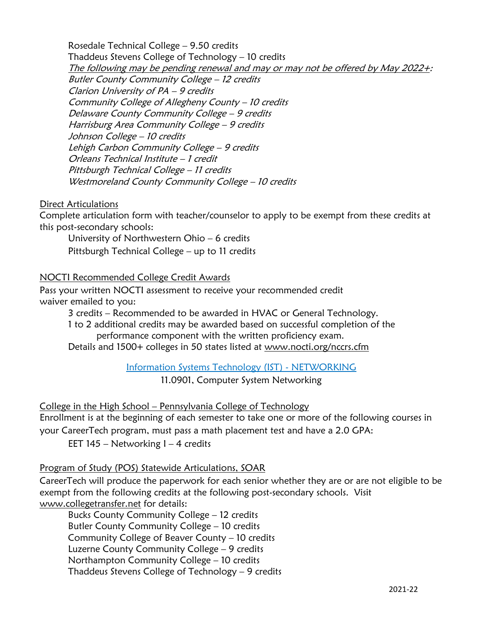Rosedale Technical College – 9.50 credits Thaddeus Stevens College of Technology – 10 credits The following may be pending renewal and may or may not be offered by May 2022+: Butler County Community College – 12 credits Clarion University of PA – 9 credits Community College of Allegheny County – 10 credits Delaware County Community College – 9 credits Harrisburg Area Community College – 9 credits Johnson College – 10 credits Lehigh Carbon Community College – 9 credits Orleans Technical Institute – 1 credit Pittsburgh Technical College – 11 credits Westmoreland County Community College - 10 credits

# Direct Articulations

Complete articulation form with teacher/counselor to apply to be exempt from these credits at this post-secondary schools:

University of Northwestern Ohio – 6 credits Pittsburgh Technical College – up to 11 credits

#### NOCTI Recommended College Credit Awards

Pass your written NOCTI assessment to receive your recommended credit waiver emailed to you:

3 credits – Recommended to be awarded in HVAC or General Technology.

1 to 2 additional credits may be awarded based on successful completion of the performance component with the written proficiency exam.

Details and 1500+ colleges in 50 states listed at [www.nocti.org/nccrs.cfm](http://www.nocti.org/nccrs.cfm)

Information Systems Technology (IST) - NETWORKING

11.0901, Computer System Networking

College in the High School – Pennsylvania College of Technology

Enrollment is at the beginning of each semester to take one or more of the following courses in your CareerTech program, must pass a math placement test and have a 2.0 GPA:

EET  $145$  – Networking  $1 - 4$  credits

# Program of Study (POS) Statewide Articulations, SOAR

CareerTech will produce the paperwork for each senior whether they are or are not eligible to be exempt from the following credits at the following post-secondary schools. Visit [www.collegetransfer.net](http://www.collegetransfer.net/) for details:

Bucks County Community College – 12 credits Butler County Community College – 10 credits Community College of Beaver County – 10 credits Luzerne County Community College – 9 credits Northampton Community College – 10 credits Thaddeus Stevens College of Technology – 9 credits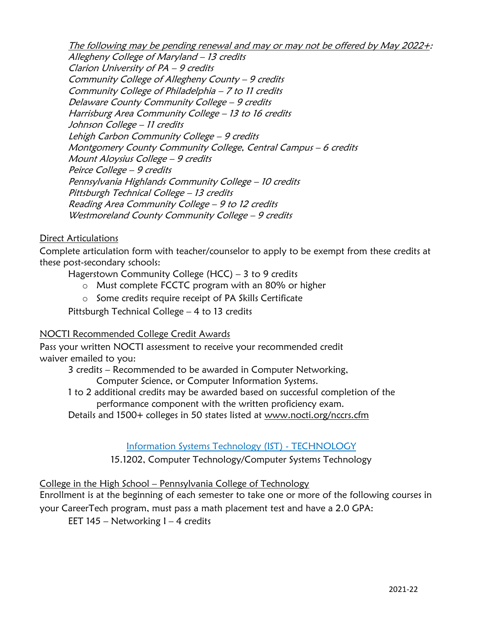The following may be pending renewal and may or may not be offered by May 2022+: Allegheny College of Maryland – 13 credits Clarion University of PA – 9 credits Community College of Allegheny County – 9 credits Community College of Philadelphia – 7 to 11 credits Delaware County Community College – 9 credits Harrisburg Area Community College – 13 to 16 credits Johnson College – 11 credits Lehigh Carbon Community College – 9 credits Montgomery County Community College, Central Campus – 6 credits Mount Aloysius College – 9 credits Peirce College – 9 credits Pennsylvania Highlands Community College – 10 credits Pittsburgh Technical College – 13 credits Reading Area Community College – 9 to 12 credits Westmoreland County Community College - 9 credits

# Direct Articulations

Complete articulation form with teacher/counselor to apply to be exempt from these credits at these post-secondary schools:

Hagerstown Community College (HCC) – 3 to 9 credits

- o Must complete FCCTC program with an 80% or higher
- o Some credits require receipt of PA Skills Certificate

Pittsburgh Technical College – 4 to 13 credits

# NOCTI Recommended College Credit Awards

Pass your written NOCTI assessment to receive your recommended credit waiver emailed to you:

3 credits – Recommended to be awarded in Computer Networking,

Computer Science, or Computer Information Systems.

1 to 2 additional credits may be awarded based on successful completion of the performance component with the written proficiency exam.

Details and 1500+ colleges in 50 states listed at [www.nocti.org/nccrs.cfm](http://www.nocti.org/nccrs.cfm)

Information Systems Technology (IST) - TECHNOLOGY

15.1202, Computer Technology/Computer Systems Technology

# College in the High School – Pennsylvania College of Technology

Enrollment is at the beginning of each semester to take one or more of the following courses in your CareerTech program, must pass a math placement test and have a 2.0 GPA:

EET  $145$  – Networking  $1 - 4$  credits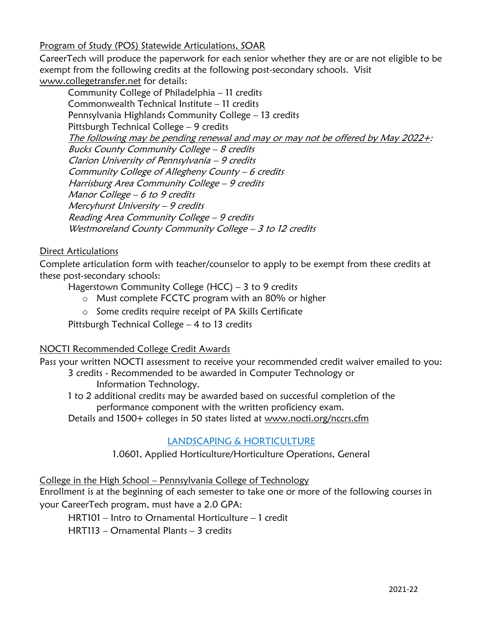Program of Study (POS) Statewide Articulations, SOAR

CareerTech will produce the paperwork for each senior whether they are or are not eligible to be exempt from the following credits at the following post-secondary schools. Visit [www.collegetransfer.net](http://www.collegetransfer.net/) for details:

Community College of Philadelphia – 11 credits Commonwealth Technical Institute – 11 credits Pennsylvania Highlands Community College – 13 credits Pittsburgh Technical College – 9 credits The following may be pending renewal and may or may not be offered by May 2022+: Bucks County Community College – 8 credits Clarion University of Pennsylvania – 9 credits Community College of Allegheny County – 6 credits Harrisburg Area Community College – 9 credits Manor College – 6 to 9 credits Mercyhurst University – 9 credits Reading Area Community College – 9 credits Westmoreland County Community College - 3 to 12 credits

# Direct Articulations

Complete articulation form with teacher/counselor to apply to be exempt from these credits at these post-secondary schools:

Hagerstown Community College (HCC) – 3 to 9 credits

- o Must complete FCCTC program with an 80% or higher
- o Some credits require receipt of PA Skills Certificate

Pittsburgh Technical College – 4 to 13 credits

# NOCTI Recommended College Credit Awards

Pass your written NOCTI assessment to receive your recommended credit waiver emailed to you: 3 credits - Recommended to be awarded in Computer Technology or

Information Technology.

1 to 2 additional credits may be awarded based on successful completion of the performance component with the written proficiency exam.

Details and 1500+ colleges in 50 states listed at [www.nocti.org/nccrs.cfm](http://www.nocti.org/nccrs.cfm)

# LANDSCAPING & HORTICULTURE

1.0601, Applied Horticulture/Horticulture Operations, General

College in the High School – Pennsylvania College of Technology

Enrollment is at the beginning of each semester to take one or more of the following courses in your CareerTech program, must have a 2.0 GPA:

HRT101 – Intro to Ornamental Horticulture – 1 credit

HRT113 – Ornamental Plants – 3 credits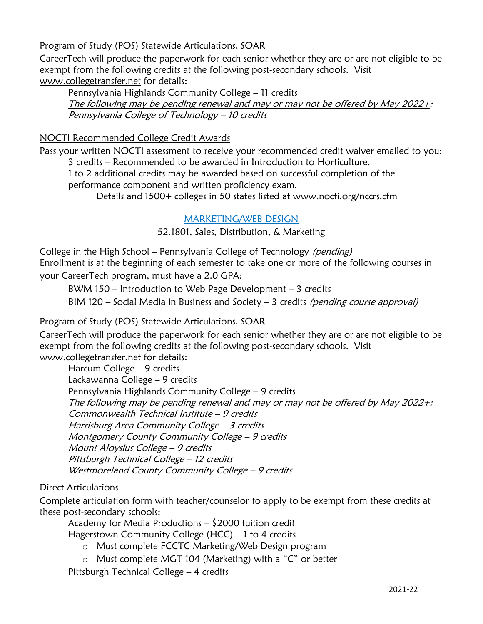Program of Study (POS) Statewide Articulations, SOAR

CareerTech will produce the paperwork for each senior whether they are or are not eligible to be exempt from the following credits at the following post-secondary schools. Visit [www.collegetransfer.net](http://www.collegetransfer.net/) for details:

Pennsylvania Highlands Community College – 11 credits The following may be pending renewal and may or may not be offered by May 2022+: Pennsylvania College of Technology – 10 credits

# NOCTI Recommended College Credit Awards

Pass your written NOCTI assessment to receive your recommended credit waiver emailed to you: 3 credits – Recommended to be awarded in Introduction to Horticulture.

1 to 2 additional credits may be awarded based on successful completion of the performance component and written proficiency exam.

Details and 1500+ colleges in 50 states listed at [www.nocti.org/nccrs.cfm](http://www.nocti.org/nccrs.cfm)

# MARKETING/WEB DESIGN

52.1801, Sales, Distribution, & Marketing

College in the High School – Pennsylvania College of Technology (pending) Enrollment is at the beginning of each semester to take one or more of the following courses in your CareerTech program, must have a 2.0 GPA:

BWM 150 – Introduction to Web Page Development – 3 credits

BIM 120 – Social Media in Business and Society – 3 credits (pending course approval)

# Program of Study (POS) Statewide Articulations, SOAR

CareerTech will produce the paperwork for each senior whether they are or are not eligible to be exempt from the following credits at the following post-secondary schools. Visit [www.collegetransfer.net](http://www.collegetransfer.net/) for details:

Harcum College – 9 credits Lackawanna College – 9 credits Pennsylvania Highlands Community College – 9 credits The following may be pending renewal and may or may not be offered by May 2022+: Commonwealth Technical Institute – 9 credits Harrisburg Area Community College – 3 credits Montgomery County Community College – 9 credits Mount Aloysius College – 9 credits Pittsburgh Technical College – 12 credits Westmoreland County Community College - 9 credits

# Direct Articulations

Complete articulation form with teacher/counselor to apply to be exempt from these credits at these post-secondary schools:

Academy for Media Productions – \$2000 tuition credit

Hagerstown Community College (HCC) – 1 to 4 credits

- o Must complete FCCTC Marketing/Web Design program
- o Must complete MGT 104 (Marketing) with a "C" or better

Pittsburgh Technical College – 4 credits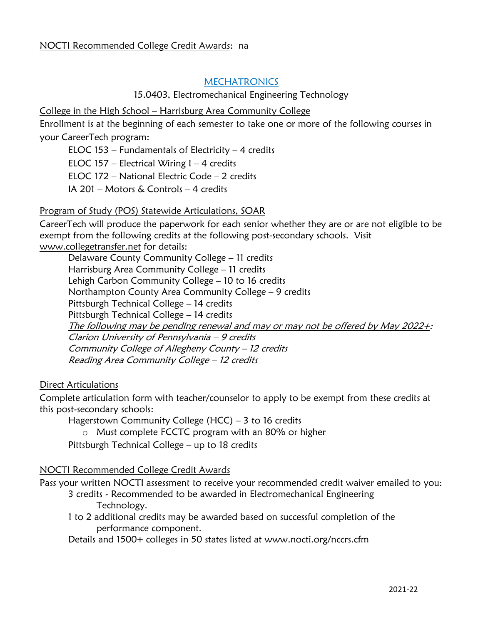# **MECHATRONICS**

#### 15.0403, Electromechanical Engineering Technology

College in the High School – Harrisburg Area Community College

Enrollment is at the beginning of each semester to take one or more of the following courses in your CareerTech program:

ELOC 153 – Fundamentals of Electricity – 4 credits ELOC 157 – Electrical Wiring  $1 - 4$  credits ELOC 172 – National Electric Code – 2 credits IA 201 – Motors & Controls – 4 credits

# Program of Study (POS) Statewide Articulations, SOAR

CareerTech will produce the paperwork for each senior whether they are or are not eligible to be exempt from the following credits at the following post-secondary schools. Visit [www.collegetransfer.net](http://www.collegetransfer.net/) for details:

Delaware County Community College – 11 credits Harrisburg Area Community College – 11 credits Lehigh Carbon Community College – 10 to 16 credits Northampton County Area Community College – 9 credits Pittsburgh Technical College – 14 credits Pittsburgh Technical College – 14 credits The following may be pending renewal and may or may not be offered by May 2022+: Clarion University of Pennsylvania – 9 credits Community College of Allegheny County – 12 credits Reading Area Community College – 12 credits

# Direct Articulations

Complete articulation form with teacher/counselor to apply to be exempt from these credits at this post-secondary schools:

Hagerstown Community College (HCC) – 3 to 16 credits

o Must complete FCCTC program with an 80% or higher

Pittsburgh Technical College – up to 18 credits

# NOCTI Recommended College Credit Awards

Pass your written NOCTI assessment to receive your recommended credit waiver emailed to you:

- 3 credits Recommended to be awarded in Electromechanical Engineering Technology.
- 1 to 2 additional credits may be awarded based on successful completion of the performance component.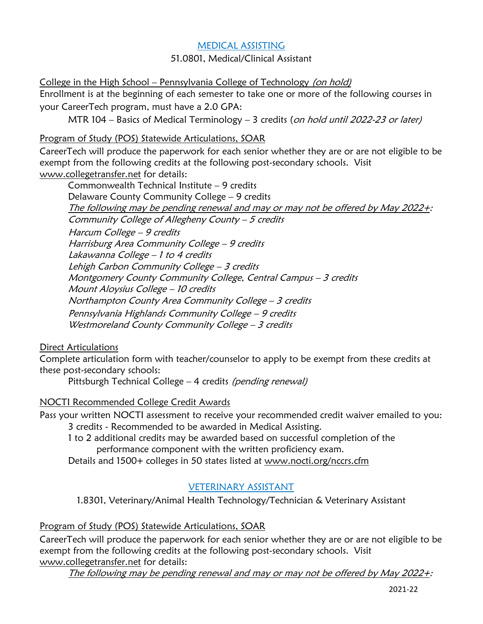# MEDICAL ASSISTING

51.0801, Medical/Clinical Assistant

College in the High School – Pennsylvania College of Technology (on hold) Enrollment is at the beginning of each semester to take one or more of the following courses in your CareerTech program, must have a 2.0 GPA:

MTR 104 – Basics of Medical Terminology – 3 credits (on hold until 2022-23 or later)

# Program of Study (POS) Statewide Articulations, SOAR

CareerTech will produce the paperwork for each senior whether they are or are not eligible to be exempt from the following credits at the following post-secondary schools. Visit [www.collegetransfer.net](http://www.collegetransfer.net/) for details:

Commonwealth Technical Institute – 9 credits Delaware County Community College – 9 credits The following may be pending renewal and may or may not be offered by May 2022+: [Community College of Allegheny County](http://www.collegetransfer.net/Tools/InstitutionInformation/tabid/63/Default.aspx?iid=414) – 5 credits Harcum College – 9 credits Harrisburg Area Community College – 9 credits Lakawanna College – 1 to 4 credits Lehigh Carbon Community College - 3 credits Montgomery County Community College, Central Campus – 3 credits Mount Aloysius College – 10 credits Northampton County Area Community College – 3 credits Pennsylvania Highlands Community College – 9 credits Westmoreland County Community College - 3 credits

Direct Articulations

Complete articulation form with teacher/counselor to apply to be exempt from these credits at these post-secondary schools:

Pittsburgh Technical College – 4 credits (pending renewal)

NOCTI Recommended College Credit Awards

Pass your written NOCTI assessment to receive your recommended credit waiver emailed to you: 3 credits - Recommended to be awarded in Medical Assisting.

1 to 2 additional credits may be awarded based on successful completion of the performance component with the written proficiency exam.

Details and 1500+ colleges in 50 states listed at [www.nocti.org/nccrs.cfm](http://www.nocti.org/nccrs.cfm)

# VETERINARY ASSISTANT

1.8301, Veterinary/Animal Health Technology/Technician & Veterinary Assistant

Program of Study (POS) Statewide Articulations, SOAR

CareerTech will produce the paperwork for each senior whether they are or are not eligible to be exempt from the following credits at the following post-secondary schools. Visit [www.collegetransfer.net](http://www.collegetransfer.net/) for details:

The following may be pending renewal and may or may not be offered by May 2022+: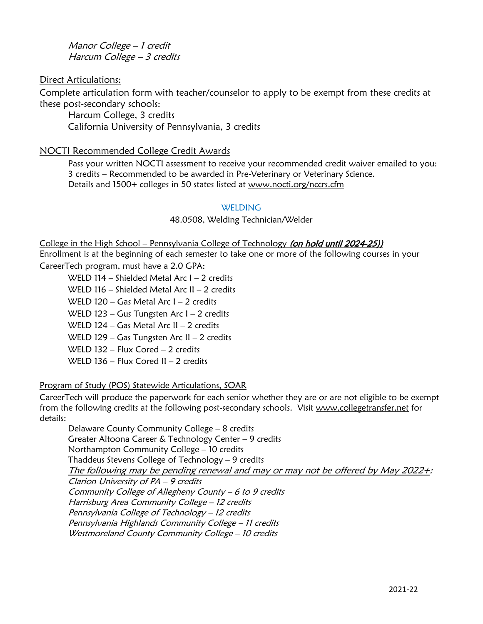Manor College – 1 credit Harcum College – 3 credits

Direct Articulations:

Complete articulation form with teacher/counselor to apply to be exempt from these credits at these post-secondary schools:

Harcum College, 3 credits California University of Pennsylvania, 3 credits

# NOCTI Recommended College Credit Awards

Pass your written NOCTI assessment to receive your recommended credit waiver emailed to you: 3 credits – Recommended to be awarded in Pre-Veterinary or Veterinary Science. Details and 1500+ colleges in 50 states listed at [www.nocti.org/nccrs.cfm](http://www.nocti.org/nccrs.cfm)

#### **WELDING**

48.0508, Welding Technician/Welder

College in the High School – Pennsylvania College of Technology (on hold until 2024-25))

Enrollment is at the beginning of each semester to take one or more of the following courses in your CareerTech program, must have a 2.0 GPA:

WELD 114 – Shielded Metal Arc I – 2 credits

WELD 116 – Shielded Metal Arc II – 2 credits

WELD 120 – Gas Metal Arc I – 2 credits

WELD 123 – Gus Tungsten Arc I – 2 credits

WELD 124 – Gas Metal Arc II – 2 credits

WELD 129 – Gas Tungsten Arc II – 2 credits

WELD 132 – Flux Cored – 2 credits

WELD 136 – Flux Cored II – 2 credits

# Program of Study (POS) Statewide Articulations, SOAR

CareerTech will produce the paperwork for each senior whether they are or are not eligible to be exempt from the following credits at the following post-secondary schools. Visit [www.collegetransfer.net](http://www.collegetransfer.net/) for details:

Delaware County Community College – 8 credits Greater Altoona Career & Technology Center – 9 credits Northampton Community College – 10 credits Thaddeus Stevens College of Technology – 9 credits The following may be pending renewal and may or may not be offered by May 2022+: Clarion University of PA – 9 credits Community College of Allegheny County – 6 to 9 credits Harrisburg Area Community College – 12 credits Pennsylvania College of Technology – 12 credits Pennsylvania Highlands Community College – 11 credits Westmoreland County Community College - 10 credits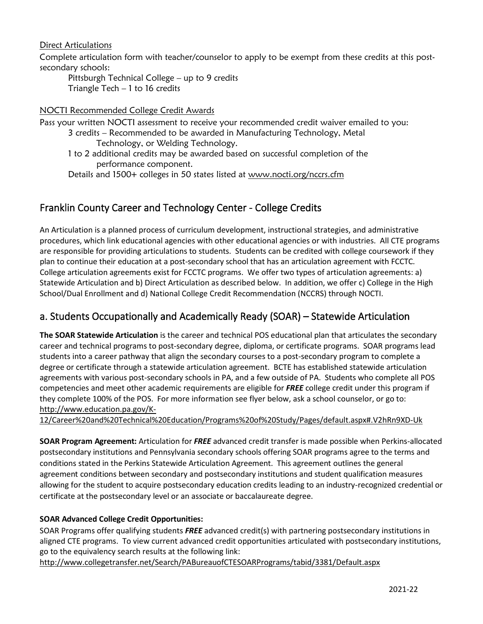Direct Articulations

Complete articulation form with teacher/counselor to apply to be exempt from these credits at this postsecondary schools:

Pittsburgh Technical College – up to 9 credits Triangle Tech – 1 to 16 credits

#### NOCTI Recommended College Credit Awards

Pass your written NOCTI assessment to receive your recommended credit waiver emailed to you:

3 credits – Recommended to be awarded in Manufacturing Technology, Metal Technology, or Welding Technology.

1 to 2 additional credits may be awarded based on successful completion of the performance component.

Details and 1500+ colleges in 50 states listed at [www.nocti.org/nccrs.cfm](http://www.nocti.org/nccrs.cfm)

# Franklin County Career and Technology Center - College Credits

An Articulation is a planned process of curriculum development, instructional strategies, and administrative procedures, which link educational agencies with other educational agencies or with industries. All CTE programs are responsible for providing articulations to students. Students can be credited with college coursework if they plan to continue their education at a post-secondary school that has an articulation agreement with FCCTC. College articulation agreements exist for FCCTC programs. We offer two types of articulation agreements: a) Statewide Articulation and b) Direct Articulation as described below. In addition, we offer c) College in the High School/Dual Enrollment and d) National College Credit Recommendation (NCCRS) through NOCTI.

# a. Students Occupationally and Academically Ready (SOAR) – Statewide Articulation

**The SOAR Statewide Articulation** is the career and technical POS educational plan that articulates the secondary career and technical programs to post-secondary degree, diploma, or certificate programs. SOAR programs lead students into a career pathway that align the secondary courses to a post-secondary program to complete a degree or certificate through a statewide articulation agreement. BCTE has established statewide articulation agreements with various post-secondary schools in PA, and a few outside of PA. Students who complete all POS competencies and meet other academic requirements are eligible for *FREE* college credit under this program if they complete 100% of the POS. For more information see flyer below, ask a school counselor, or go to: [http://www.education.pa.gov/K-](http://www.education.pa.gov/K-12/Career%20and%20Technical%20Education/Programs%20of%20Study/Pages/default.aspx#.V2hRn9XD-Uk)

[12/Career%20and%20Technical%20Education/Programs%20of%20Study/Pages/default.aspx#.V2hRn9XD-Uk](http://www.education.pa.gov/K-12/Career%20and%20Technical%20Education/Programs%20of%20Study/Pages/default.aspx#.V2hRn9XD-Uk)

**SOAR Program Agreement:** Articulation for *FREE* advanced credit transfer is made possible when Perkins-allocated postsecondary institutions and Pennsylvania secondary schools offering SOAR programs agree to the terms and conditions stated in the Perkins Statewide Articulation Agreement. This agreement outlines the general agreement conditions between secondary and postsecondary institutions and student qualification measures allowing for the student to acquire postsecondary education credits leading to an industry-recognized credential or certificate at the postsecondary level or an associate or baccalaureate degree.

#### **SOAR Advanced College Credit Opportunities:**

SOAR Programs offer qualifying students *FREE* advanced credit(s) with partnering postsecondary institutions in aligned CTE programs. To view current advanced credit opportunities articulated with postsecondary institutions, go to the equivalency search results at the following link:

<http://www.collegetransfer.net/Search/PABureauofCTESOARPrograms/tabid/3381/Default.aspx>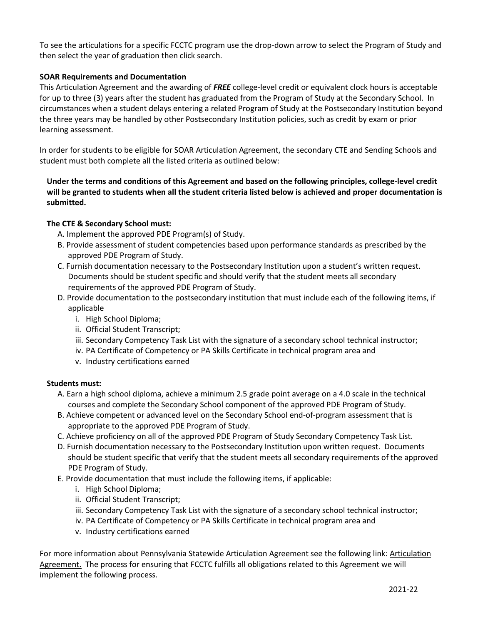To see the articulations for a specific FCCTC program use the drop-down arrow to select the Program of Study and then select the year of graduation then click search.

#### **SOAR Requirements and Documentation**

This Articulation Agreement and the awarding of *FREE* college-level credit or equivalent clock hours is acceptable for up to three (3) years after the student has graduated from the Program of Study at the Secondary School. In circumstances when a student delays entering a related Program of Study at the Postsecondary Institution beyond the three years may be handled by other Postsecondary Institution policies, such as credit by exam or prior learning assessment.

In order for students to be eligible for SOAR Articulation Agreement, the secondary CTE and Sending Schools and student must both complete all the listed criteria as outlined below:

#### **Under the terms and conditions of this Agreement and based on the following principles, college-level credit will be granted to students when all the student criteria listed below is achieved and proper documentation is submitted.**

#### **The CTE & Secondary School must:**

- A. Implement the approved PDE Program(s) of Study.
- B. Provide assessment of student competencies based upon performance standards as prescribed by the approved PDE Program of Study.
- C. Furnish documentation necessary to the Postsecondary Institution upon a student's written request. Documents should be student specific and should verify that the student meets all secondary requirements of the approved PDE Program of Study.
- D. Provide documentation to the postsecondary institution that must include each of the following items, if applicable
	- i. High School Diploma;
	- ii. Official Student Transcript;
	- iii. Secondary Competency Task List with the signature of a secondary school technical instructor;
	- iv. PA Certificate of Competency or PA Skills Certificate in technical program area and
	- v. Industry certifications earned

#### **Students must:**

- A. Earn a high school diploma, achieve a minimum 2.5 grade point average on a 4.0 scale in the technical courses and complete the Secondary School component of the approved PDE Program of Study.
- B. Achieve competent or advanced level on the Secondary School end-of-program assessment that is appropriate to the approved PDE Program of Study.
- C. Achieve proficiency on all of the approved PDE Program of Study Secondary Competency Task List.
- D. Furnish documentation necessary to the Postsecondary Institution upon written request. Documents should be student specific that verify that the student meets all secondary requirements of the approved PDE Program of Study.
- E. Provide documentation that must include the following items, if applicable:
	- i. High School Diploma;
	- ii. Official Student Transcript;
	- iii. Secondary Competency Task List with the signature of a secondary school technical instructor;
	- iv. PA Certificate of Competency or PA Skills Certificate in technical program area and
	- v. Industry certifications earned

For more information about Pennsylvania Statewide [Articulation](http://www.education.pa.gov/Documents/K-12/Career%20and%20Technical%20Education/Programs%20of%20Study/Articulations/Perkins%20Statewide%20Articulation%20Agreement.pdf) Agreement see the following link: Articulation [Agreement.](http://www.education.pa.gov/Documents/K-12/Career%20and%20Technical%20Education/Programs%20of%20Study/Articulations/Perkins%20Statewide%20Articulation%20Agreement.pdf) The process for ensuring that FCCTC fulfills all obligations related to this Agreement we will implement the following process.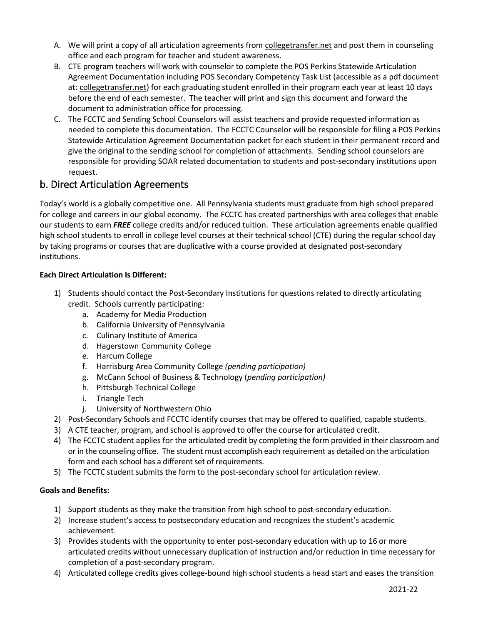- A. We will print a copy of all articulation agreements from [collegetransfer.net](http://www.collegetransfer.net/Search/PABureauofCTESOARPrograms/tabid/3381/Default.aspx) and post them in counseling office and each program for teacher and student awareness.
- B. CTE program teachers will work with counselor to complete the POS Perkins Statewide Articulation Agreement Documentation including POS Secondary Competency Task List (accessible as a pdf document at: [collegetransfer.net\)](http://www.collegetransfer.net/Search/PABureauofCTESOARPrograms/tabid/3381/Default.aspx) for each graduating student enrolled in their program each year at least 10 days before the end of each semester. The teacher will print and sign this document and forward the document to administration office for processing.
- C. The FCCTC and Sending School Counselors will assist teachers and provide requested information as needed to complete this documentation. The FCCTC Counselor will be responsible for filing a POS Perkins Statewide Articulation Agreement Documentation packet for each student in their permanent record and give the original to the sending school for completion of attachments. Sending school counselors are responsible for providing SOAR related documentation to students and post-secondary institutions upon request.

# b. Direct Articulation Agreements

Today's world is a globally competitive one. All Pennsylvania students must graduate from high school prepared for college and careers in our global economy. The FCCTC has created partnerships with area colleges that enable our students to earn *FREE* college credits and/or reduced tuition. These articulation agreements enable qualified high school students to enroll in college level courses at their technical school (CTE) during the regular school day by taking programs or courses that are duplicative with a course provided at designated post-secondary institutions.

#### **Each Direct Articulation Is Different:**

- 1) Students should contact the Post-Secondary Institutions for questions related to directly articulating credit. Schools currently participating:
	- a. Academy for Media Production
	- b. California University of Pennsylvania
	- c. Culinary Institute of America
	- d. Hagerstown Community College
	- e. Harcum College
	- f. Harrisburg Area Community College *(pending participation)*
	- g. McCann School of Business & Technology (*pending participation)*
	- h. Pittsburgh Technical College
	- i. Triangle Tech
	- j. University of Northwestern Ohio
- 2) Post-Secondary Schools and FCCTC identify courses that may be offered to qualified, capable students.
- 3) A CTE teacher, program, and school is approved to offer the course for articulated credit.
- 4) The FCCTC student applies for the articulated credit by completing the form provided in their classroom and or in the counseling office. The student must accomplish each requirement as detailed on the articulation form and each school has a different set of requirements.
- 5) The FCCTC student submits the form to the post-secondary school for articulation review.

#### **Goals and Benefits:**

- 1) Support students as they make the transition from high school to post-secondary education.
- 2) Increase student's access to postsecondary education and recognizes the student's academic achievement.
- 3) Provides students with the opportunity to enter post-secondary education with up to 16 or more articulated credits without unnecessary duplication of instruction and/or reduction in time necessary for completion of a post-secondary program.
- 4) Articulated college credits gives college-bound high school students a head start and eases the transition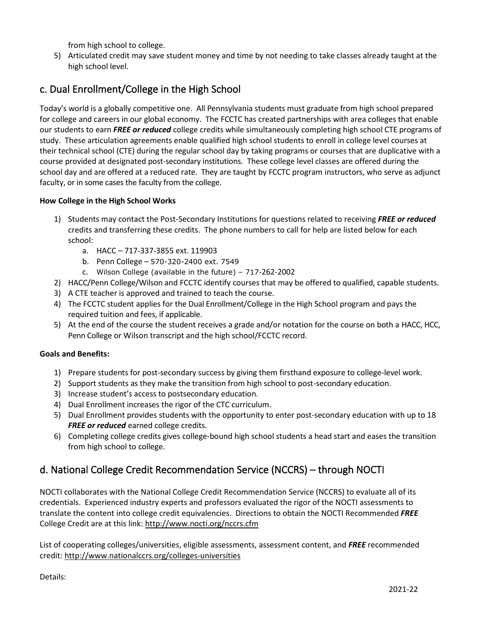from high school to college.

5) Articulated credit may save student money and time by not needing to take classes already taught at the high school level.

# c. Dual Enrollment/College in the High School

Today's world is a globally competitive one. All Pennsylvania students must graduate from high school prepared for college and careers in our global economy. The FCCTC has created partnerships with area colleges that enable our students to earn *FREE or reduced* college credits while simultaneously completing high school CTE programs of study. These articulation agreements enable qualified high school students to enroll in college level courses at their technical school (CTE) during the regular school day by taking programs or courses that are duplicative with a course provided at designated post-secondary institutions. These college level classes are offered during the school day and are offered at a reduced rate. They are taught by FCCTC program instructors, who serve as adjunct faculty, or in some cases the faculty from the college.

#### **How College in the High School Works**

- 1) Students may contact the Post-Secondary Institutions for questions related to receiving *FREE or reduced*  credits and transferring these credits. The phone numbers to call for help are listed below for each school:
	- a. HACC 717-337-3855 ext. 119903
	- b. Penn College 570-320-2400 ext. 7549
	- c. Wilson College (available in the future) 717-262-2002
- 2) HACC/Penn College/Wilson and FCCTC identify courses that may be offered to qualified, capable students.
- 3) A CTE teacher is approved and trained to teach the course.
- 4) The FCCTC student applies for the Dual Enrollment/College in the High School program and pays the required tuition and fees, if applicable.
- 5) At the end of the course the student receives a grade and/or notation for the course on both a HACC, HCC, Penn College or Wilson transcript and the high school/FCCTC record.

#### **Goals and Benefits:**

- 1) Prepare students for post-secondary success by giving them firsthand exposure to college-level work.
- 2) Support students as they make the transition from high school to post-secondary education.
- 3) Increase student's access to postsecondary education.
- 4) Dual Enrollment increases the rigor of the CTC curriculum.
- 5) Dual Enrollment provides students with the opportunity to enter post-secondary education with up to 18 **FREE or reduced** earned college credits.
- 6) Completing college credits gives college-bound high school students a head start and eases the transition from high school to college.

# d. National College Credit Recommendation Service (NCCRS) – through NOCTI

NOCTI collaborates with the National College Credit Recommendation Service (NCCRS) to evaluate all of its credentials. Experienced industry experts and professors evaluated the rigor of the NOCTI assessments to translate the content into college credit equivalencies. Directions to obtain the NOCTI Recommended *FREE*  College Credit are at this link:<http://www.nocti.org/nccrs.cfm>

List of cooperating colleges/universities, eligible assessments, assessment content, and *FREE* recommended credit:<http://www.nationalccrs.org/colleges-universities>

Details: